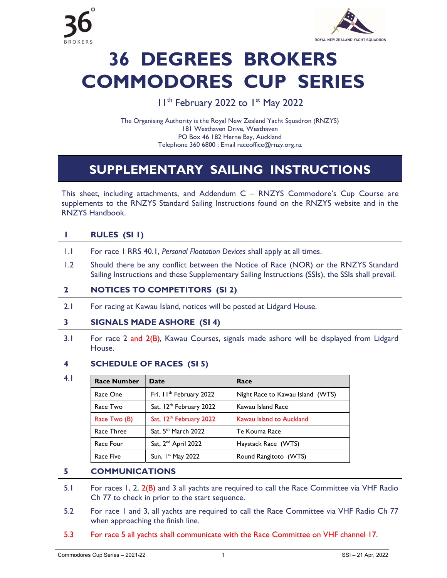



# 36 DEGREES BROKERS COMMODORES CUP SERIES

### I I<sup>th</sup> February 2022 to I<sup>st</sup> May 2022

The Organising Authority is the Royal New Zealand Yacht Squadron (RNZYS) 181 Westhaven Drive, Westhaven PO Box 46 182 Herne Bay, Auckland Telephone 360 6800 : Email raceoffice@rnzy.org.nz

# SUPPLEMENTARY SAILING INSTRUCTIONS

This sheet, including attachments, and Addendum C – RNZYS Commodore's Cup Course are supplements to the RNZYS Standard Sailing Instructions found on the RNZYS website and in the RNZYS Handbook.

#### 1 RULES (SI 1)

- 1.1 For race 1 RRS 40.1, Personal Floatation Devices shall apply at all times.
- 1.2 Should there be any conflict between the Notice of Race (NOR) or the RNZYS Standard Sailing Instructions and these Supplementary Sailing Instructions (SSIs), the SSIs shall prevail.

#### 2 NOTICES TO COMPETITORS (SI 2)

2.1 For racing at Kawau Island, notices will be posted at Lidgard House.

#### 3 SIGNALS MADE ASHORE (SI 4)

3.1 For race 2 and 2(B), Kawau Courses, signals made ashore will be displayed from Lidgard House.

#### 4 SCHEDULE OF RACES (SI 5)

| 4.1 | <b>Race Number</b> | Date                                | Race                             |
|-----|--------------------|-------------------------------------|----------------------------------|
|     | Race One           | Fri, II <sup>th</sup> February 2022 | Night Race to Kawau Island (WTS) |
|     | Race Two           | Sat, 12 <sup>th</sup> February 2022 | Kawau Island Race                |
|     | Race Two (B)       | Sat, 12 <sup>th</sup> February 2022 | Kawau Island to Auckland         |
|     | Race Three         | Sat, 5 <sup>th</sup> March 2022     | Te Kouma Race                    |
|     | Race Four          | Sat, 2 <sup>nd</sup> April 2022     | Haystack Race (WTS)              |
|     | Race Five          | Sun, $Ist$ May 2022                 | Round Rangitoto (WTS)            |

#### 5 COMMUNICATIONS

- 5.1 For races 1, 2, 2(B) and 3 all yachts are required to call the Race Committee via VHF Radio Ch 77 to check in prior to the start sequence.
- 5.2 For race 1 and 3, all yachts are required to call the Race Committee via VHF Radio Ch 77 when approaching the finish line.
- 5.3 For race 5 all yachts shall communicate with the Race Committee on VHF channel 17.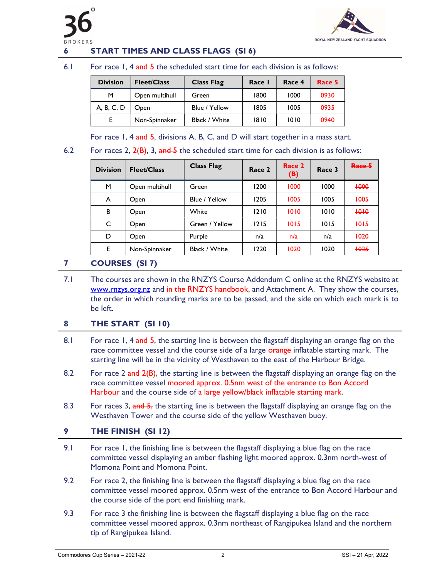



#### **START TIMES AND CLASS FLAGS (SI 6)**

#### 6.1 For race 1, 4 and 5 the scheduled start time for each division is as follows:

| <b>Division</b> | <b>Fleet/Class</b> | <b>Class Flag</b> | Race I | Race 4 | Race 5 |
|-----------------|--------------------|-------------------|--------|--------|--------|
| м               | Open multihull     | Green             | 1800   | 1000   | 0930   |
| A, B, C, D      | <b>Open</b>        | Blue / Yellow     | 1805   | 1005   | 0935   |
|                 | Non-Spinnaker      | Black / White     | 1810   | 1010   | 0940   |

For race 1, 4 and 5, divisions A, B, C, and D will start together in a mass start.

#### 6.2 For races 2,  $2(B)$ , 3, and  $\overline{B}$  the scheduled start time for each division is as follows:

| <b>Division</b> | <b>Fleet/Class</b> | <b>Class Flag</b> | Race 2 | Race 2<br>(B) | Race 3 | Race 5 |
|-----------------|--------------------|-------------------|--------|---------------|--------|--------|
| M               | Open multihull     | Green             | 1200   | 1000          | 1000   | +000   |
| A               | Open               | Blue / Yellow     | 1205   | 1005          | 1005   | +005   |
| B               | Open               | White             | 1210   | 1010          | 1010   | +0+0   |
| C               | Open               | Green / Yellow    | 1215   | 1015          | 1015   | $+0+5$ |
| D               | Open               | Purple            | n/a    | n/a           | n/a    | +020   |
| E               | Non-Spinnaker      | Black / White     | 1220   | 1020          | 1020   | +025   |

#### 7 COURSES (SI 7)

 7.1 The courses are shown in the RNZYS Course Addendum C online at the RNZYS website at www.rnzys.org.nz and in the RNZYS handbook, and Attachment A. They show the courses, the order in which rounding marks are to be passed, and the side on which each mark is to be left.

#### 8 THE START (SI 10)

- 8.1 For race 1, 4 and 5, the starting line is between the flagstaff displaying an orange flag on the race committee vessel and the course side of a large or an enflatable starting mark. The starting line will be in the vicinity of Westhaven to the east of the Harbour Bridge.
- 8.2 For race 2 and 2(B), the starting line is between the flagstaff displaying an orange flag on the race committee vessel moored approx. 0.5nm west of the entrance to Bon Accord Harbour and the course side of a large yellow/black inflatable starting mark.
- 8.3 For races 3, and 5, the starting line is between the flagstaff displaying an orange flag on the Westhaven Tower and the course side of the yellow Westhaven buoy.

#### 9 THE FINISH (SI 12)

- 9.1 For race 1, the finishing line is between the flagstaff displaying a blue flag on the race committee vessel displaying an amber flashing light moored approx. 0.3nm north-west of Momona Point and Momona Point.
- 9.2 For race 2, the finishing line is between the flagstaff displaying a blue flag on the race committee vessel moored approx. 0.5nm west of the entrance to Bon Accord Harbour and the course side of the port end finishing mark.
- 9.3 For race 3 the finishing line is between the flagstaff displaying a blue flag on the race committee vessel moored approx. 0.3nm northeast of Rangipukea Island and the northern tip of Rangipukea Island.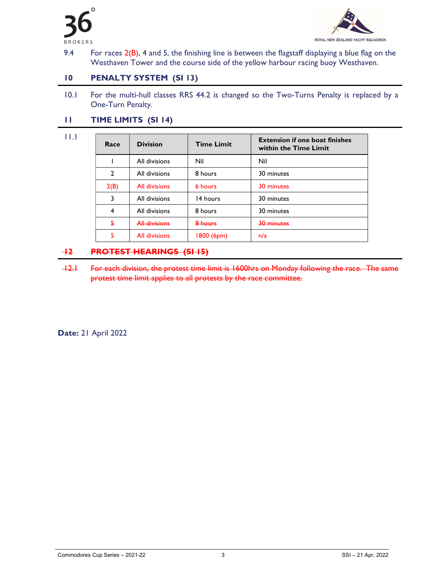

11.1



9.4 For races  $2(B)$ , 4 and 5, the finishing line is between the flagstaff displaying a blue flag on the Westhaven Tower and the course side of the yellow harbour racing buoy Westhaven.

#### 10 PENALTY SYSTEM (SI 13)

10.1 For the multi-hull classes RRS 44.2 is changed so the Two-Turns Penalty is replaced by a One-Turn Penalty.

#### 11 TIME LIMITS (SI 14)

Race Division Time Limit Extension if one boat finishes within the Time Limit 1 All divisions Nil Nil 2 | All divisions | 8 hours | 30 minutes 2(B) All divisions 6 hours 30 minutes 3 | All divisions | 14 hours | 30 minutes 4 | All divisions | 8 hours | 30 minutes 5 All divisions 8 hours 30 minutes 5 All divisions 1800 (6pm) n/a

#### 12 PROTEST HEARINGS (SI 15)

 12.1 For each division, the protest time limit is 1600hrs on Monday following the race. The same protest time limit applies to all protests by the race committee.

Date: 21 April 2022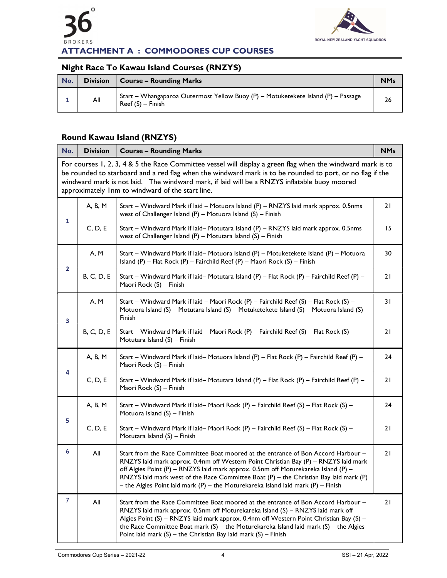



# Night Race To Kawau Island Courses (RNZYS)

| No. | <b>Division</b> | <b>Course - Rounding Marks</b>                                                                          | <b>NMs</b> |
|-----|-----------------|---------------------------------------------------------------------------------------------------------|------------|
|     | All             | Start – Whangaparoa Outermost Yellow Buoy (P) – Motuketekete Island (P) – Passage<br>$Reef(S) - Finish$ | 26         |

#### Round Kawau Island (RNZYS)

| No.                                                                                                                                                                                                                                                                                                                                                                          | <b>Division</b>   | <b>Course - Rounding Marks</b>                                                                                                                                                                                                                                                                                                                                                                                                                   | <b>NMs</b> |  |  |
|------------------------------------------------------------------------------------------------------------------------------------------------------------------------------------------------------------------------------------------------------------------------------------------------------------------------------------------------------------------------------|-------------------|--------------------------------------------------------------------------------------------------------------------------------------------------------------------------------------------------------------------------------------------------------------------------------------------------------------------------------------------------------------------------------------------------------------------------------------------------|------------|--|--|
| For courses 1, 2, 3, 4 & 5 the Race Committee vessel will display a green flag when the windward mark is to<br>be rounded to starboard and a red flag when the windward mark is to be rounded to port, or no flag if the<br>windward mark is not laid. The windward mark, if laid will be a RNZYS inflatable buoy moored<br>approximately Inm to windward of the start line. |                   |                                                                                                                                                                                                                                                                                                                                                                                                                                                  |            |  |  |
|                                                                                                                                                                                                                                                                                                                                                                              | A, B, M           | Start – Windward Mark if laid – Motuora Island (P) – RNZYS laid mark approx. 0.5nms<br>west of Challenger Island (P) - Motuora Island (S) - Finish                                                                                                                                                                                                                                                                                               | 21         |  |  |
| 1                                                                                                                                                                                                                                                                                                                                                                            | C, D, E           | Start – Windward Mark if laid– Motutara Island (P) – RNZYS laid mark approx. 0.5nms<br>west of Challenger Island $(P)$ – Motutara Island $(S)$ – Finish                                                                                                                                                                                                                                                                                          | 15         |  |  |
|                                                                                                                                                                                                                                                                                                                                                                              | A, M              | Start - Windward Mark if laid- Motuora Island (P) - Motuketekete Island (P) - Motuora<br>Island (P) - Flat Rock (P) - Fairchild Reef (P) - Maori Rock (S) - Finish                                                                                                                                                                                                                                                                               | 30         |  |  |
| $\mathbf{2}$                                                                                                                                                                                                                                                                                                                                                                 | <b>B, C, D, E</b> | Start - Windward Mark if laid- Motutara Island (P) - Flat Rock (P) - Fairchild Reef (P) -<br>Maori Rock (S) - Finish                                                                                                                                                                                                                                                                                                                             | 21         |  |  |
| 3                                                                                                                                                                                                                                                                                                                                                                            | A, M              | Start - Windward Mark if laid - Maori Rock (P) - Fairchild Reef (S) - Flat Rock (S) -<br>Motuora Island (S) – Motutara Island (S) – Motuketekete Island (S) – Motuora Island (S) –<br>Finish                                                                                                                                                                                                                                                     | 31         |  |  |
|                                                                                                                                                                                                                                                                                                                                                                              | <b>B, C, D, E</b> | Start - Windward Mark if laid - Maori Rock (P) - Fairchild Reef (S) - Flat Rock (S) -<br>Motutara Island (S) - Finish                                                                                                                                                                                                                                                                                                                            | 21         |  |  |
|                                                                                                                                                                                                                                                                                                                                                                              | A, B, M           | Start - Windward Mark if laid- Motuora Island (P) - Flat Rock (P) - Fairchild Reef (P) -<br>Maori Rock (S) - Finish                                                                                                                                                                                                                                                                                                                              | 24         |  |  |
| 4                                                                                                                                                                                                                                                                                                                                                                            | C, D, E           | Start - Windward Mark if laid- Motutara Island (P) - Flat Rock (P) - Fairchild Reef (P) -<br>Maori Rock (S) - Finish                                                                                                                                                                                                                                                                                                                             | 21         |  |  |
|                                                                                                                                                                                                                                                                                                                                                                              | A, B, M           | Start - Windward Mark if laid- Maori Rock (P) - Fairchild Reef (S) - Flat Rock (S) -<br>Motuora Island (S) - Finish                                                                                                                                                                                                                                                                                                                              | 24         |  |  |
| 5                                                                                                                                                                                                                                                                                                                                                                            | C, D, E           | Start - Windward Mark if laid- Maori Rock (P) - Fairchild Reef (S) - Flat Rock (S) -<br>Motutara Island (S) - Finish                                                                                                                                                                                                                                                                                                                             | 21         |  |  |
| 6                                                                                                                                                                                                                                                                                                                                                                            | All               | Start from the Race Committee Boat moored at the entrance of Bon Accord Harbour -<br>RNZYS laid mark approx. 0.4nm off Western Point Christian Bay (P) - RNZYS laid mark<br>off Algies Point (P) - RNZYS laid mark approx. 0.5nm off Moturekareka Island (P) -<br>RNZYS laid mark west of the Race Committee Boat (P) - the Christian Bay laid mark (P)<br>- the Algies Point laid mark $(P)$ - the Moturekareka Island laid mark $(P)$ - Finish | 21         |  |  |
| 7                                                                                                                                                                                                                                                                                                                                                                            | All               | Start from the Race Committee Boat moored at the entrance of Bon Accord Harbour -<br>RNZYS laid mark approx. 0.5nm off Moturekareka Island (S) - RNZYS laid mark off<br>Algies Point (S) – RNZYS laid mark approx. 0.4nm off Western Point Christian Bay (S) –<br>the Race Committee Boat mark $(S)$ – the Moturekareka Island laid mark $(S)$ – the Algies<br>Point laid mark $(S)$ – the Christian Bay laid mark $(S)$ – Finish                | 21         |  |  |